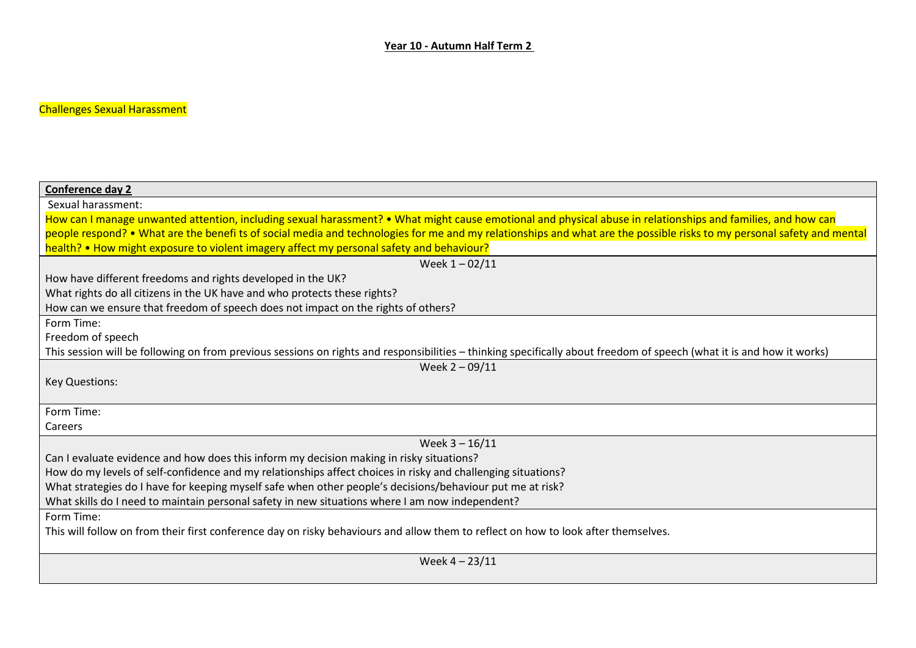## Challenges Sexual Harassment

| <b>Conference day 2</b>                                                                                                                                                |
|------------------------------------------------------------------------------------------------------------------------------------------------------------------------|
| Sexual harassment:                                                                                                                                                     |
| How can I manage unwanted attention, including sexual harassment? • What might cause emotional and physical abuse in relationships and families, and how can           |
| people respond? • What are the benefi ts of social media and technologies for me and my relationships and what are the possible risks to my personal safety and mental |
| health? • How might exposure to violent imagery affect my personal safety and behaviour?                                                                               |
| Week $1 - 02/11$                                                                                                                                                       |
| How have different freedoms and rights developed in the UK?                                                                                                            |
| What rights do all citizens in the UK have and who protects these rights?                                                                                              |
| How can we ensure that freedom of speech does not impact on the rights of others?                                                                                      |
| Form Time:                                                                                                                                                             |
| Freedom of speech                                                                                                                                                      |
| This session will be following on from previous sessions on rights and responsibilities – thinking specifically about freedom of speech (what it is and how it works)  |
| Week 2-09/11                                                                                                                                                           |
| <b>Key Questions:</b>                                                                                                                                                  |
|                                                                                                                                                                        |
| Form Time:                                                                                                                                                             |
| Careers                                                                                                                                                                |
| Week $3 - 16/11$                                                                                                                                                       |
| Can I evaluate evidence and how does this inform my decision making in risky situations?                                                                               |
| How do my levels of self-confidence and my relationships affect choices in risky and challenging situations?                                                           |
| What strategies do I have for keeping myself safe when other people's decisions/behaviour put me at risk?                                                              |
| What skills do I need to maintain personal safety in new situations where I am now independent?                                                                        |
| Form Time:                                                                                                                                                             |
| This will follow on from their first conference day on risky behaviours and allow them to reflect on how to look after themselves.                                     |
|                                                                                                                                                                        |
| Week $4 - 23/11$                                                                                                                                                       |
|                                                                                                                                                                        |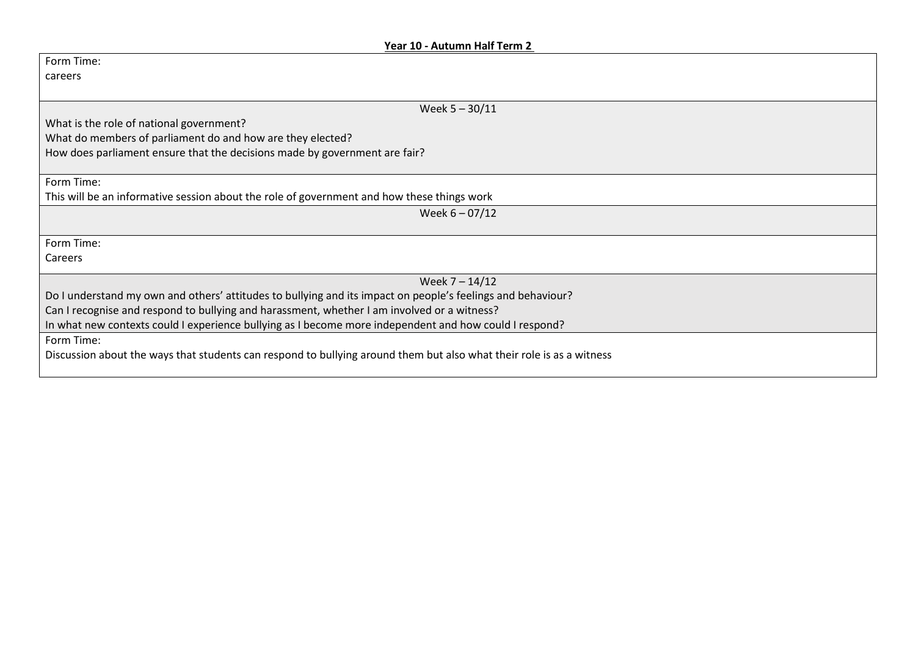## **Year 10 - Autumn Half Term 2**

| Form Time:                                                                                                           |
|----------------------------------------------------------------------------------------------------------------------|
| careers                                                                                                              |
|                                                                                                                      |
| Week $5 - 30/11$                                                                                                     |
| What is the role of national government?                                                                             |
| What do members of parliament do and how are they elected?                                                           |
| How does parliament ensure that the decisions made by government are fair?                                           |
|                                                                                                                      |
| Form Time:                                                                                                           |
| This will be an informative session about the role of government and how these things work                           |
| Week $6 - 07/12$                                                                                                     |
|                                                                                                                      |
| Form Time:                                                                                                           |
| Careers                                                                                                              |
| Week $7 - 14/12$                                                                                                     |
| Do I understand my own and others' attitudes to bullying and its impact on people's feelings and behaviour?          |
| Can I recognise and respond to bullying and harassment, whether I am involved or a witness?                          |
| In what new contexts could I experience bullying as I become more independent and how could I respond?               |
|                                                                                                                      |
| Form Time:                                                                                                           |
| Discussion about the ways that students can respond to bullying around them but also what their role is as a witness |
|                                                                                                                      |